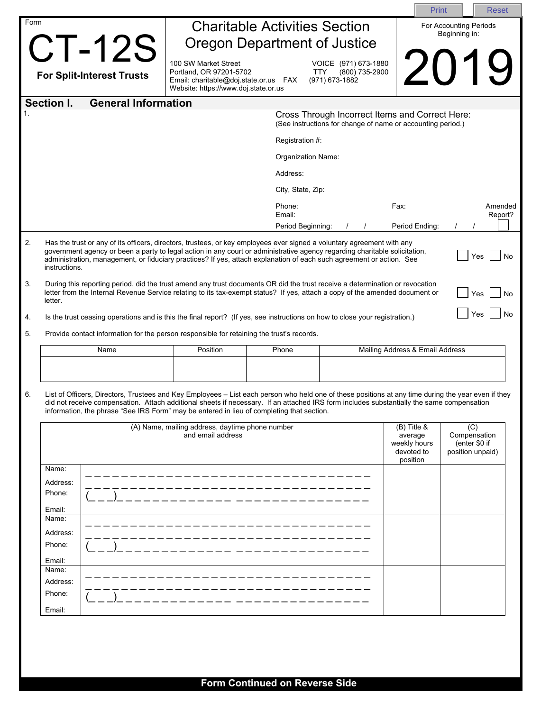|          |                                                                                                                                                                                                                                                                                                                                                                                                                                                                                                                                                                                             |                                                                                                                                  |                              |                                                                        | <b>Print</b>   |                                         | <b>Reset</b>       |
|----------|---------------------------------------------------------------------------------------------------------------------------------------------------------------------------------------------------------------------------------------------------------------------------------------------------------------------------------------------------------------------------------------------------------------------------------------------------------------------------------------------------------------------------------------------------------------------------------------------|----------------------------------------------------------------------------------------------------------------------------------|------------------------------|------------------------------------------------------------------------|----------------|-----------------------------------------|--------------------|
| Form     |                                                                                                                                                                                                                                                                                                                                                                                                                                                                                                                                                                                             | <b>Charitable Activities Section</b>                                                                                             |                              |                                                                        |                | For Accounting Periods<br>Beginning in: |                    |
|          | <b>CT-12S</b>                                                                                                                                                                                                                                                                                                                                                                                                                                                                                                                                                                               |                                                                                                                                  | Oregon Department of Justice |                                                                        |                |                                         |                    |
|          | <b>For Split-Interest Trusts</b>                                                                                                                                                                                                                                                                                                                                                                                                                                                                                                                                                            | 100 SW Market Street<br>Portland, OR 97201-5702<br>Email: charitable@doj.state.or.us FAX<br>Website: https://www.doj.state.or.us |                              | VOICE (971) 673-1880<br>(800) 735-2900<br><b>TTY</b><br>(971) 673-1882 |                |                                         |                    |
|          | <b>General Information</b><br><b>Section I.</b>                                                                                                                                                                                                                                                                                                                                                                                                                                                                                                                                             |                                                                                                                                  |                              |                                                                        |                |                                         |                    |
|          | Cross Through Incorrect Items and Correct Here:<br>(See instructions for change of name or accounting period.)                                                                                                                                                                                                                                                                                                                                                                                                                                                                              |                                                                                                                                  |                              |                                                                        |                |                                         |                    |
|          |                                                                                                                                                                                                                                                                                                                                                                                                                                                                                                                                                                                             |                                                                                                                                  |                              | Registration #:                                                        |                |                                         |                    |
|          |                                                                                                                                                                                                                                                                                                                                                                                                                                                                                                                                                                                             |                                                                                                                                  | Organization Name:           |                                                                        |                |                                         |                    |
|          | Address:                                                                                                                                                                                                                                                                                                                                                                                                                                                                                                                                                                                    |                                                                                                                                  |                              |                                                                        |                |                                         |                    |
|          |                                                                                                                                                                                                                                                                                                                                                                                                                                                                                                                                                                                             |                                                                                                                                  | City, State, Zip:            |                                                                        |                |                                         |                    |
|          |                                                                                                                                                                                                                                                                                                                                                                                                                                                                                                                                                                                             |                                                                                                                                  | Phone:<br>Email:             |                                                                        | Fax:           |                                         | Amended<br>Report? |
|          |                                                                                                                                                                                                                                                                                                                                                                                                                                                                                                                                                                                             |                                                                                                                                  | Period Beginning:            |                                                                        | Period Ending: |                                         |                    |
| 2.<br>3. | Has the trust or any of its officers, directors, trustees, or key employees ever signed a voluntary agreement with any<br>government agency or been a party to legal action in any court or administrative agency regarding charitable solicitation,<br>Yes<br>No<br>administration, management, or fiduciary practices? If yes, attach explanation of each such agreement or action. See<br>instructions.                                                                                                                                                                                  |                                                                                                                                  |                              |                                                                        |                |                                         |                    |
|          | During this reporting period, did the trust amend any trust documents OR did the trust receive a determination or revocation<br>letter from the Internal Revenue Service relating to its tax-exempt status? If yes, attach a copy of the amended document or<br>Yes<br>No<br>letter.                                                                                                                                                                                                                                                                                                        |                                                                                                                                  |                              |                                                                        |                |                                         |                    |
| 4.       | Is the trust ceasing operations and is this the final report? (If yes, see instructions on how to close your registration.)                                                                                                                                                                                                                                                                                                                                                                                                                                                                 |                                                                                                                                  |                              |                                                                        |                |                                         | Yes<br>No          |
| 5.       | Provide contact information for the person responsible for retaining the trust's records.                                                                                                                                                                                                                                                                                                                                                                                                                                                                                                   |                                                                                                                                  |                              |                                                                        |                |                                         |                    |
|          | Name                                                                                                                                                                                                                                                                                                                                                                                                                                                                                                                                                                                        | Position                                                                                                                         | Phone                        | Mailing Address & Email Address                                        |                |                                         |                    |
|          |                                                                                                                                                                                                                                                                                                                                                                                                                                                                                                                                                                                             |                                                                                                                                  |                              |                                                                        |                |                                         |                    |
| 6.       | List of Officers, Directors, Trustees and Key Employees – List each person who held one of these positions at any time during the year even if they<br>did not receive compensation. Attach additional sheets if necessary. If an attached IRS form includes substantially the same compensation<br>information, the phrase "See IRS Form" may be entered in lieu of completing that section.<br>(A) Name, mailing address, daytime phone number<br>$(B)$ Title &<br>(C)<br>and email address<br>Compensation<br>average<br>(enter \$0 if<br>weekly hours<br>devoted to<br>position unpaid) |                                                                                                                                  |                              |                                                                        |                |                                         |                    |
|          | Name:                                                                                                                                                                                                                                                                                                                                                                                                                                                                                                                                                                                       |                                                                                                                                  |                              |                                                                        | position       |                                         |                    |
|          | Address:<br>Phone:<br>Email:                                                                                                                                                                                                                                                                                                                                                                                                                                                                                                                                                                |                                                                                                                                  |                              |                                                                        |                |                                         |                    |
|          | Name:<br>Address:                                                                                                                                                                                                                                                                                                                                                                                                                                                                                                                                                                           |                                                                                                                                  |                              |                                                                        |                |                                         |                    |
|          | Phone:                                                                                                                                                                                                                                                                                                                                                                                                                                                                                                                                                                                      |                                                                                                                                  |                              |                                                                        |                |                                         |                    |
|          | Email:                                                                                                                                                                                                                                                                                                                                                                                                                                                                                                                                                                                      |                                                                                                                                  |                              |                                                                        |                |                                         |                    |
|          | Name:                                                                                                                                                                                                                                                                                                                                                                                                                                                                                                                                                                                       |                                                                                                                                  |                              |                                                                        |                |                                         |                    |
|          | Address:<br>Phone:                                                                                                                                                                                                                                                                                                                                                                                                                                                                                                                                                                          |                                                                                                                                  |                              |                                                                        |                |                                         |                    |
|          | Email:                                                                                                                                                                                                                                                                                                                                                                                                                                                                                                                                                                                      |                                                                                                                                  |                              |                                                                        |                |                                         |                    |

### **Form Continued on Reverse Side**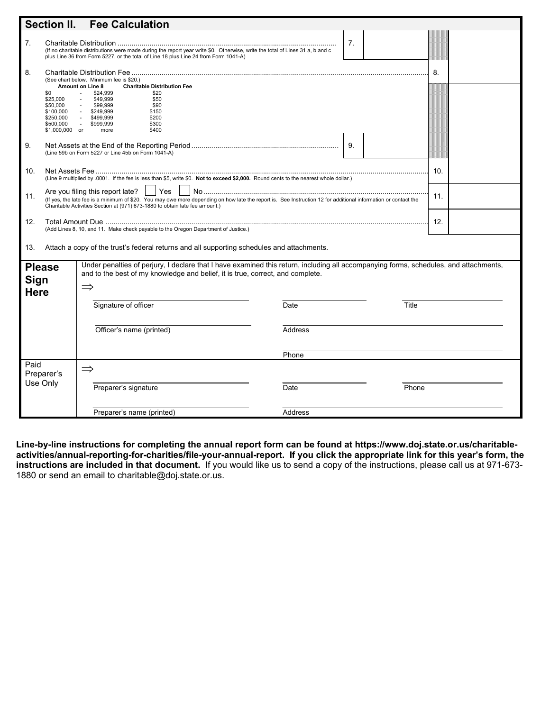| Section II. Fee Calculation                                                                                                                                                                                                                                                      |                                                                                                                                                                                                                                                                                                   |                                                                                                                                                                                                                                                                                                        |         |  |  |  |
|----------------------------------------------------------------------------------------------------------------------------------------------------------------------------------------------------------------------------------------------------------------------------------|---------------------------------------------------------------------------------------------------------------------------------------------------------------------------------------------------------------------------------------------------------------------------------------------------|--------------------------------------------------------------------------------------------------------------------------------------------------------------------------------------------------------------------------------------------------------------------------------------------------------|---------|--|--|--|
| 7.                                                                                                                                                                                                                                                                               |                                                                                                                                                                                                                                                                                                   | (If no charitable distributions were made during the report year write \$0. Otherwise, write the total of Lines 31 a, b and c<br>plus Line 36 from Form 5227, or the total of Line 18 plus Line 24 from Form 1041-A)                                                                                   | 7.      |  |  |  |
| 8.                                                                                                                                                                                                                                                                               | \$0<br>\$25,000<br>\$50,000<br>\$100,000<br>\$250,000<br>\$500,000<br>\$1,000,000 or                                                                                                                                                                                                              | (See chart below. Minimum fee is \$20.)<br><b>Amount on Line 8</b><br><b>Charitable Distribution Fee</b><br>\$24.999<br>\$20<br>$\sim$<br>\$49.999<br>\$50<br>\$99,999<br>\$90<br>\$249,999<br><b>Contract</b><br>\$150<br>$-$ \$499,999<br>\$200<br>$\sim 100$<br>\$999,999<br>\$300<br>\$400<br>more | 8.      |  |  |  |
| 9.                                                                                                                                                                                                                                                                               |                                                                                                                                                                                                                                                                                                   | (Line 59b on Form 5227 or Line 45b on Form 1041-A)                                                                                                                                                                                                                                                     |         |  |  |  |
| 10.                                                                                                                                                                                                                                                                              | 10.<br>(Line 9 multiplied by .0001. If the fee is less than \$5, write \$0. Not to exceed \$2,000. Round cents to the nearest whole dollar.)                                                                                                                                                      |                                                                                                                                                                                                                                                                                                        |         |  |  |  |
| 11.                                                                                                                                                                                                                                                                              | Are you filing this report late?<br>Yes  <br>11.<br>(If yes, the late fee is a minimum of \$20. You may owe more depending on how late the report is. See Instruction 12 for additional information or contact the<br>Charitable Activities Section at (971) 673-1880 to obtain late fee amount.) |                                                                                                                                                                                                                                                                                                        |         |  |  |  |
| 12.                                                                                                                                                                                                                                                                              | (Add Lines 8, 10, and 11. Make check payable to the Oregon Department of Justice.)                                                                                                                                                                                                                |                                                                                                                                                                                                                                                                                                        |         |  |  |  |
| 13.                                                                                                                                                                                                                                                                              | Attach a copy of the trust's federal returns and all supporting schedules and attachments.                                                                                                                                                                                                        |                                                                                                                                                                                                                                                                                                        |         |  |  |  |
| Under penalties of perjury, I declare that I have examined this return, including all accompanying forms, schedules, and attachments,<br><b>Please</b><br>and to the best of my knowledge and belief, it is true, correct, and complete.<br>Sign<br>$\Rightarrow$<br><b>Here</b> |                                                                                                                                                                                                                                                                                                   |                                                                                                                                                                                                                                                                                                        |         |  |  |  |
|                                                                                                                                                                                                                                                                                  |                                                                                                                                                                                                                                                                                                   | Signature of officer<br>Date                                                                                                                                                                                                                                                                           | Title   |  |  |  |
|                                                                                                                                                                                                                                                                                  |                                                                                                                                                                                                                                                                                                   | Officer's name (printed)                                                                                                                                                                                                                                                                               | Address |  |  |  |
|                                                                                                                                                                                                                                                                                  |                                                                                                                                                                                                                                                                                                   |                                                                                                                                                                                                                                                                                                        | Phone   |  |  |  |
| Paid                                                                                                                                                                                                                                                                             | Preparer's<br>Use Only                                                                                                                                                                                                                                                                            | $\Rightarrow$                                                                                                                                                                                                                                                                                          |         |  |  |  |
|                                                                                                                                                                                                                                                                                  |                                                                                                                                                                                                                                                                                                   | Preparer's signature<br>Date                                                                                                                                                                                                                                                                           | Phone   |  |  |  |
|                                                                                                                                                                                                                                                                                  |                                                                                                                                                                                                                                                                                                   | Preparer's name (printed)                                                                                                                                                                                                                                                                              | Address |  |  |  |

**Line-by-line instructions for completing the annual report form can be found at https://www.doj.state.or.us/charitableactivities/annual-reporting-for-charities/file-your-annual-report. If you click the appropriate link for this year's form, the instructions are included in that document.** If you would like us to send a copy of the instructions, please call us at 971-673- 1880 or send an email to charitable@doj.state.or.us.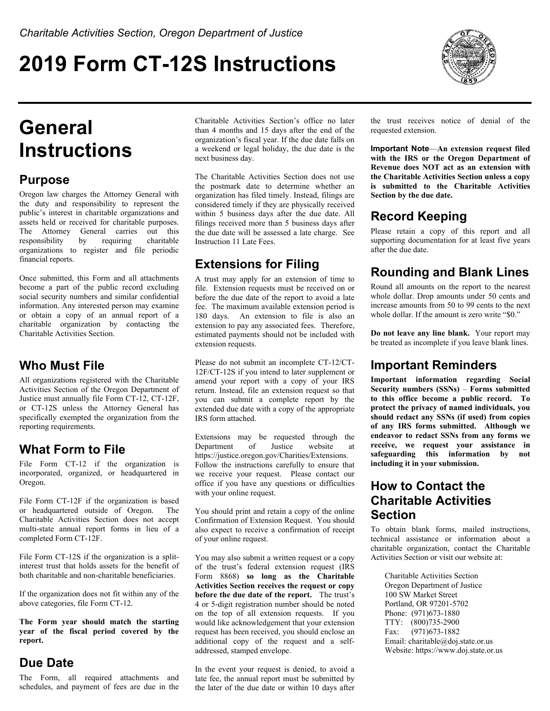# **2019 Form CT-12S Instructions**



# **General Instructions**

## **Purpose**

Oregon law charges the Attorney General with the duty and responsibility to represent the public's interest in charitable organizations and assets held or received for charitable purposes. The Attorney General carries out this responsibility by requiring charitable organizations to register and file periodic financial reports.

Once submitted, this Form and all attachments become a part of the public record excluding social security numbers and similar confidential information. Any interested person may examine or obtain a copy of an annual report of a charitable organization by contacting the Charitable Activities Section.

## **Who Must File**

All organizations registered with the Charitable Activities Section of the Oregon Department of Justice must annually file Form CT-12, CT-12F, or CT-12S unless the Attorney General has specifically exempted the organization from the reporting requirements.

## **What Form to File**

File Form CT-12 if the organization is incorporated, organized, or headquartered in Oregon.

File Form CT-12F if the organization is based or headquartered outside of Oregon. The Charitable Activities Section does not accept multi-state annual report forms in lieu of a completed Form CT-12F.

File Form CT-12S if the organization is a splitinterest trust that holds assets for the benefit of both charitable and non-charitable beneficiaries.

If the organization does not fit within any of the above categories, file Form CT-12.

**The Form year should match the starting year of the fiscal period covered by the report.**

## **Due Date**

The Form, all required attachments and schedules, and payment of fees are due in the Charitable Activities Section's office no later than 4 months and 15 days after the end of the organization's fiscal year. If the due date falls on a weekend or legal holiday, the due date is the next business day.

The Charitable Activities Section does not use the postmark date to determine whether an organization has filed timely. Instead, filings are considered timely if they are physically received within 5 business days after the due date. All filings received more than 5 business days after the due date will be assessed a late charge. See Instruction 11 Late Fees.

## **Extensions for Filing**

A trust may apply for an extension of time to file. Extension requests must be received on or before the due date of the report to avoid a late fee. The maximum available extension period is 180 days. An extension to file is also an extension to pay any associated fees. Therefore, estimated payments should not be included with extension requests.

Please do not submit an incomplete CT-12/CT-12F/CT-12S if you intend to later supplement or amend your report with a copy of your IRS return. Instead, file an extension request so that you can submit a complete report by the extended due date with a copy of the appropriate IRS form attached.

Extensions may be requested through the Department of Justice website at https://justice.oregon.gov/Charities/Extensions. Follow the instructions carefully to ensure that we receive your request. Please contact our office if you have any questions or difficulties with your online request.

You should print and retain a copy of the online Confirmation of Extension Request. You should also expect to receive a confirmation of receipt of your online request.

You may also submit a written request or a copy of the trust's federal extension request (IRS Form 8868) **so long as the Charitable Activities Section receives the request or copy before the due date of the report.** The trust's 4 or 5-digit registration number should be noted on the top of all extension requests. If you would like acknowledgement that your extension request has been received, you should enclose an additional copy of the request and a selfaddressed, stamped envelope.

In the event your request is denied, to avoid a late fee, the annual report must be submitted by the later of the due date or within 10 days after

the trust receives notice of denial of the requested extension.

**Important Note**—**An extension request filed with the IRS or the Oregon Department of Revenue does NOT act as an extension with the Charitable Activities Section unless a copy is submitted to the Charitable Activities Section by the due date.**

## **Record Keeping**

Please retain a copy of this report and all supporting documentation for at least five years after the due date.

## **Rounding and Blank Lines**

Round all amounts on the report to the nearest whole dollar. Drop amounts under 50 cents and increase amounts from 50 to 99 cents to the next whole dollar. If the amount is zero write "\$0."

**Do not leave any line blank.** Your report may be treated as incomplete if you leave blank lines.

## **Important Reminders**

**Important information regarding Social Security numbers (SSNs)** – **Forms submitted to this office become a public record. To protect the privacy of named individuals, you should redact any SSNs (if used) from copies of any IRS forms submitted. Although we endeavor to redact SSNs from any forms we receive, we request your assistance in safeguarding this information by not including it in your submission.**

## **How to Contact the Charitable Activities Section**

To obtain blank forms, mailed instructions, technical assistance or information about a charitable organization, contact the Charitable Activities Section or visit our website at:

 Charitable Activities Section Oregon Department of Justice 100 SW Market Street Portland, OR 97201-5702 Phone: (971)673-1880 TTY: (800)735-2900<br>Fax: (971)673-1882 Fax: (971)673-1882 Email: charitable@doj.state.or.us Website: https://www.doj.state.or.us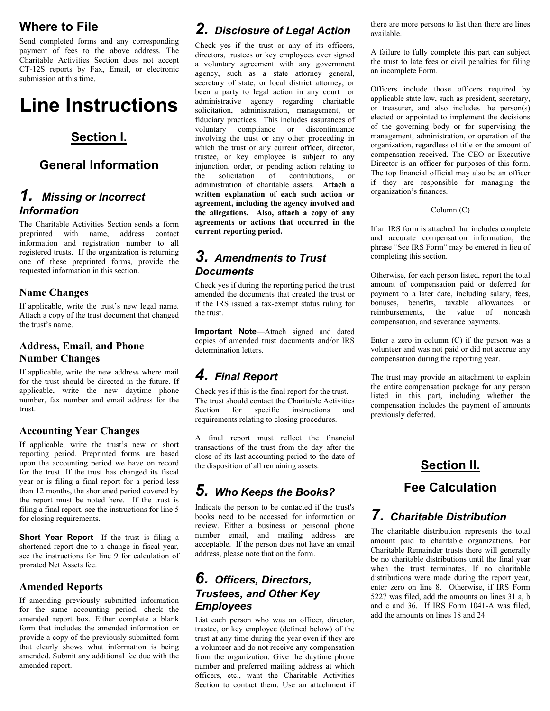## **Where to File**

Send completed forms and any corresponding payment of fees to the above address. The Charitable Activities Section does not accept CT-12S reports by Fax, Email, or electronic submission at this time.

# **Line Instructions**

## **Section I.**

## **General Information**

## *1. Missing or Incorrect Information*

The Charitable Activities Section sends a form preprinted with name, address contact information and registration number to all registered trusts. If the organization is returning one of these preprinted forms, provide the requested information in this section.

### **Name Changes**

If applicable, write the trust's new legal name. Attach a copy of the trust document that changed the trust's name.

### **Address, Email, and Phone Number Changes**

If applicable, write the new address where mail for the trust should be directed in the future. If applicable, write the new daytime phone number, fax number and email address for the trust.

### **Accounting Year Changes**

If applicable, write the trust's new or short reporting period. Preprinted forms are based upon the accounting period we have on record for the trust. If the trust has changed its fiscal year or is filing a final report for a period less than 12 months, the shortened period covered by the report must be noted here. If the trust is filing a final report, see the instructions for line 5 for closing requirements.

**Short Year Report**—If the trust is filing a shortened report due to a change in fiscal year, see the instructions for line 9 for calculation of prorated Net Assets fee.

### **Amended Reports**

If amending previously submitted information for the same accounting period, check the amended report box. Either complete a blank form that includes the amended information or provide a copy of the previously submitted form that clearly shows what information is being amended. Submit any additional fee due with the amended report.

## *2. Disclosure of Legal Action*

Check yes if the trust or any of its officers, directors, trustees or key employees ever signed a voluntary agreement with any government agency, such as a state attorney general, secretary of state, or local district attorney, or been a party to legal action in any court or administrative agency regarding charitable solicitation, administration, management, or fiduciary practices. This includes assurances of voluntary compliance or discontinuance involving the trust or any other proceeding in which the trust or any current officer, director, trustee, or key employee is subject to any injunction, order, or pending action relating to the solicitation of contributions, or administration of charitable assets. **Attach a written explanation of each such action or agreement, including the agency involved and the allegations. Also, attach a copy of any agreements or actions that occurred in the current reporting period.**

## *3. Amendments to Trust Documents*

Check yes if during the reporting period the trust amended the documents that created the trust or if the IRS issued a tax-exempt status ruling for the trust.

**Important Note**—Attach signed and dated copies of amended trust documents and/or IRS determination letters.

## *4. Final Report*

Check yes if this is the final report for the trust. The trust should contact the Charitable Activities Section for specific instructions and requirements relating to closing procedures.

A final report must reflect the financial transactions of the trust from the day after the close of its last accounting period to the date of the disposition of all remaining assets.

## *5. Who Keeps the Books?*

Indicate the person to be contacted if the trust's books need to be accessed for information or review. Either a business or personal phone number email, and mailing address are acceptable. If the person does not have an email address, please note that on the form.

## *6. Officers, Directors, Trustees, and Other Key Employees*

List each person who was an officer, director, trustee, or key employee (defined below) of the trust at any time during the year even if they are a volunteer and do not receive any compensation from the organization. Give the daytime phone number and preferred mailing address at which officers, etc., want the Charitable Activities Section to contact them. Use an attachment if there are more persons to list than there are lines available.

A failure to fully complete this part can subject the trust to late fees or civil penalties for filing an incomplete Form.

Officers include those officers required by applicable state law, such as president, secretary, or treasurer, and also includes the person(s) elected or appointed to implement the decisions of the governing body or for supervising the management, administration, or operation of the organization, regardless of title or the amount of compensation received. The CEO or Executive Director is an officer for purposes of this form. The top financial official may also be an officer if they are responsible for managing the organization's finances.

#### Column (C)

If an IRS form is attached that includes complete and accurate compensation information, the phrase "See IRS Form" may be entered in lieu of completing this section.

Otherwise, for each person listed, report the total amount of compensation paid or deferred for payment to a later date, including salary, fees, bonuses, benefits, taxable allowances or reimbursements, the value of noncash compensation, and severance payments.

Enter a zero in column (C) if the person was a volunteer and was not paid or did not accrue any compensation during the reporting year.

The trust may provide an attachment to explain the entire compensation package for any person listed in this part, including whether the compensation includes the payment of amounts previously deferred.

## **Section II. Fee Calculation**

## *7. Charitable Distribution*

The charitable distribution represents the total amount paid to charitable organizations. For Charitable Remainder trusts there will generally be no charitable distributions until the final year when the trust terminates. If no charitable distributions were made during the report year, enter zero on line 8. Otherwise, if IRS Form 5227 was filed, add the amounts on lines 31 a, b and c and 36. If IRS Form 1041-A was filed, add the amounts on lines 18 and 24.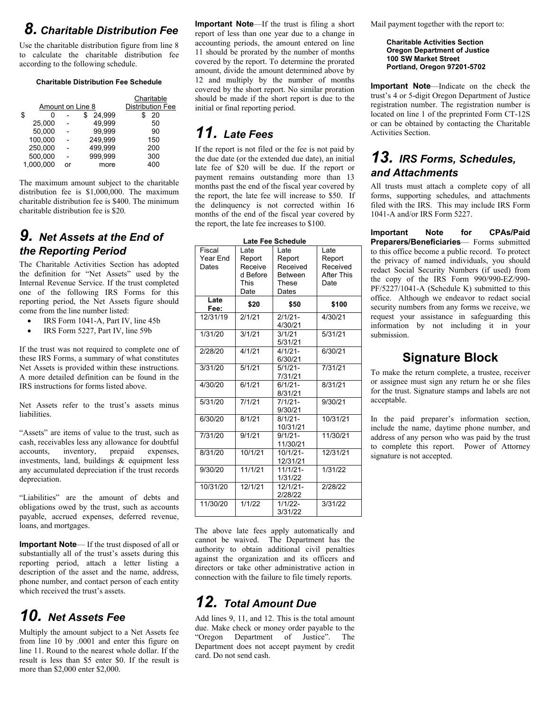## *8. Charitable Distribution Fee*

Use the charitable distribution figure from line 8 to calculate the charitable distribution fee according to the following schedule.

#### **Charitable Distribution Fee Schedule**

|                  |    |              | Charitable              |
|------------------|----|--------------|-------------------------|
| Amount on Line 8 |    |              | <b>Distribution Fee</b> |
| \$<br>0          |    | 24,999<br>\$ | 20                      |
| 25.000           |    | 49.999       | 50                      |
| 50,000           |    | 99.999       | 90                      |
| 100,000          |    | 249.999      | 150                     |
| 250,000          |    | 499.999      | 200                     |
| 500,000          |    | 999.999      | 300                     |
| 1.000.000        | or | more         | 400                     |

The maximum amount subject to the charitable distribution fee is \$1,000,000. The maximum charitable distribution fee is \$400. The minimum charitable distribution fee is \$20.

## *9. Net Assets at the End of the Reporting Period*

The Charitable Activities Section has adopted the definition for "Net Assets" used by the Internal Revenue Service. If the trust completed one of the following IRS Forms for this reporting period, the Net Assets figure should come from the line number listed:

- IRS Form 1041-A, Part IV, line 45b
- IRS Form 5227, Part IV, line 59b

If the trust was not required to complete one of these IRS Forms, a summary of what constitutes Net Assets is provided within these instructions. A more detailed definition can be found in the IRS instructions for forms listed above.

Net Assets refer to the trust's assets minus liabilities.

"Assets" are items of value to the trust, such as cash, receivables less any allowance for doubtful<br>accounts. inventory. prepaid expenses. accounts, inventory, prepaid investments, land, buildings & equipment less any accumulated depreciation if the trust records depreciation.

"Liabilities" are the amount of debts and obligations owed by the trust, such as accounts payable, accrued expenses, deferred revenue, loans, and mortgages.

**Important Note**— If the trust disposed of all or substantially all of the trust's assets during this reporting period, attach a letter listing a description of the asset and the name, address, phone number, and contact person of each entity which received the trust's assets.

## *10. Net Assets Fee*

Multiply the amount subject to a Net Assets fee from line 10 by .0001 and enter this figure on line 11. Round to the nearest whole dollar. If the result is less than \$5 enter \$0. If the result is more than \$2,000 enter \$2,000.

**Important Note**—If the trust is filing a short report of less than one year due to a change in accounting periods, the amount entered on line 11 should be prorated by the number of months covered by the report. To determine the prorated amount, divide the amount determined above by 12 and multiply by the number of months covered by the short report. No similar proration should be made if the short report is due to the initial or final reporting period.

## *11. Late Fees*

If the report is not filed or the fee is not paid by the due date (or the extended due date), an initial late fee of \$20 will be due. If the report or payment remains outstanding more than 13 months past the end of the fiscal year covered by the report, the late fee will increase to \$50. If the delinquency is not corrected within 16 months of the end of the fiscal year covered by the report, the late fee increases to \$100.

| <b>Late Fee Schedule</b>    |                                                        |                                                                 |                                                         |  |  |
|-----------------------------|--------------------------------------------------------|-----------------------------------------------------------------|---------------------------------------------------------|--|--|
| Fiscal<br>Year End<br>Dates | I ate<br>Report<br>Receive<br>d Before<br>This<br>Date | I ate<br>Report<br>Received<br><b>Between</b><br>These<br>Dates | Late<br>Report<br>Received<br><b>After This</b><br>Date |  |  |
| Late<br>Fee:                | \$20                                                   | \$50                                                            | \$100                                                   |  |  |
| 12/31/19                    | 2/1/21                                                 | $2/1/21 -$<br>4/30/21                                           | 4/30/21                                                 |  |  |
| 1/31/20                     | 3/1/21                                                 | 3/1/21<br>5/31/21                                               | 5/31/21                                                 |  |  |
| 2/28/20                     | 4/1/21                                                 | $4/1/21-$<br>6/30/21                                            | 6/30/21                                                 |  |  |
| 3/31/20                     | 5/1/21                                                 | $5/1/21 -$<br>7/31/21                                           | 7/31/21                                                 |  |  |
| 4/30/20                     | 6/1/21                                                 | $6/1/21 -$<br>8/31/21                                           | 8/31/21                                                 |  |  |
| 5/31/20                     | 7/1/21                                                 | $7/1/21-$<br>9/30/21                                            | 9/30/21                                                 |  |  |
| 6/30/20                     | 8/1/21                                                 | $8/1/21 -$<br>10/31/21                                          | 10/31/21                                                |  |  |
| 7/31/20                     | 9/1/21                                                 | $9/1/21 -$<br>11/30/21                                          | 11/30/21                                                |  |  |
| 8/31/20                     | 10/1/21                                                | $10/1/21 -$<br>12/31/21                                         | 12/31/21                                                |  |  |
| 9/30/20                     | 11/1/21                                                | $11/1/21-$<br>1/31/22                                           | 1/31/22                                                 |  |  |
| 10/31/20                    | 12/1/21                                                | $12/1/21 -$<br>2/28/22                                          | 2/28/22                                                 |  |  |
| 11/30/20                    | 1/1/22                                                 | $1/1/22 -$<br>3/31/22                                           | 3/31/22                                                 |  |  |

The above late fees apply automatically and cannot be waived. The Department has the authority to obtain additional civil penalties against the organization and its officers and directors or take other administrative action in connection with the failure to file timely reports.

## *12. Total Amount Due*

Add lines 9, 11, and 12. This is the total amount due. Make check or money order payable to the "Oregon Department of Justice". The Department does not accept payment by credit card. Do not send cash.

Mail payment together with the report to:

 **Charitable Activities Section Oregon Department of Justice 100 SW Market Street Portland, Oregon 97201-5702**

**Important Note**—Indicate on the check the trust's 4 or 5-digit Oregon Department of Justice registration number. The registration number is located on line 1 of the preprinted Form CT-12S or can be obtained by contacting the Charitable Activities Section.

## *13. IRS Forms, Schedules, and Attachments*

All trusts must attach a complete copy of all forms, supporting schedules, and attachments filed with the IRS. This may include IRS Form 1041-A and/or IRS Form 5227.

**Important Note for CPAs/Paid Preparers/Beneficiaries**— Forms submitted to this office become a public record. To protect the privacy of named individuals, you should redact Social Security Numbers (if used) from the copy of the IRS Form 990/990-EZ/990- PF/5227/1041-A (Schedule K) submitted to this office. Although we endeavor to redact social security numbers from any forms we receive, we request your assistance in safeguarding this information by not including it in your submission.

### **Signature Block**

To make the return complete, a trustee, receiver or assignee must sign any return he or she files for the trust. Signature stamps and labels are not acceptable.

In the paid preparer's information section, include the name, daytime phone number, and address of any person who was paid by the trust to complete this report. Power of Attorney signature is not accepted.